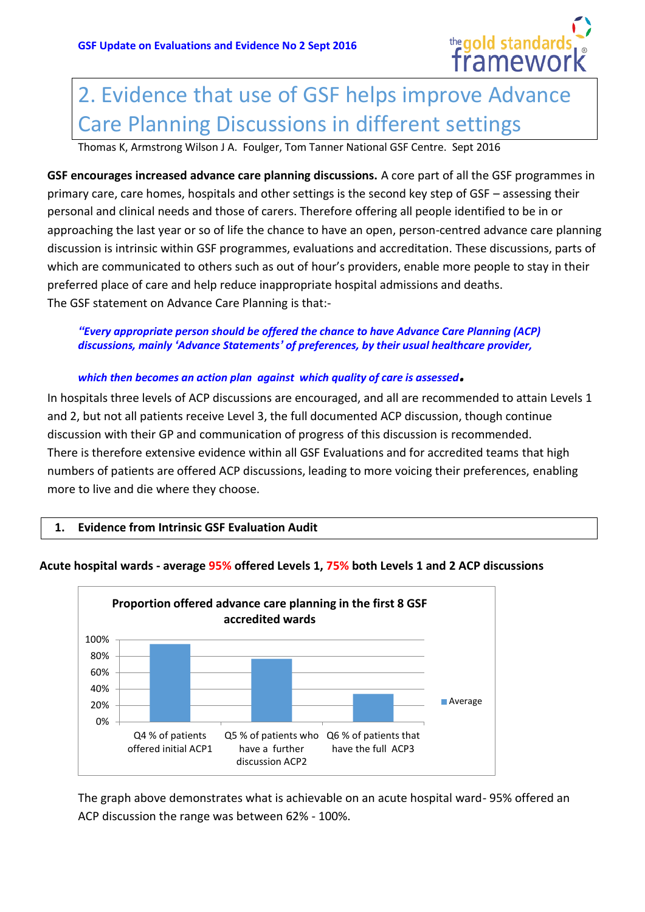

# 2. Evidence that use of GSF helps improve Advance Care Planning Discussions in different settings

Thomas K, Armstrong Wilson J A. Foulger, Tom Tanner National GSF Centre. Sept 2016

**GSF encourages increased advance care planning discussions.** A core part of all the GSF programmes in primary care, care homes, hospitals and other settings is the second key step of GSF – assessing their personal and clinical needs and those of carers. Therefore offering all people identified to be in or approaching the last year or so of life the chance to have an open, person-centred advance care planning discussion is intrinsic within GSF programmes, evaluations and accreditation. These discussions, parts of which are communicated to others such as out of hour's providers, enable more people to stay in their preferred place of care and help reduce inappropriate hospital admissions and deaths. The GSF statement on Advance Care Planning is that:-

#### *"Every appropriate person should be offered the chance to have Advance Care Planning (ACP) discussions, mainly 'Advance Statements' of preferences, by their usual healthcare provider,*

### *which then becomes an action plan against which quality of care is assessed.*

In hospitals three levels of ACP discussions are encouraged, and all are recommended to attain Levels 1 and 2, but not all patients receive Level 3, the full documented ACP discussion, though continue discussion with their GP and communication of progress of this discussion is recommended. There is therefore extensive evidence within all GSF Evaluations and for accredited teams that high numbers of patients are offered ACP discussions, leading to more voicing their preferences, enabling more to live and die where they choose.

**1. Evidence from Intrinsic GSF Evaluation Audit** 



## **Acute hospital wards - average 95% offered Levels 1, 75% both Levels 1 and 2 ACP discussions**

The graph above demonstrates what is achievable on an acute hospital ward- 95% offered an ACP discussion the range was between 62% - 100%.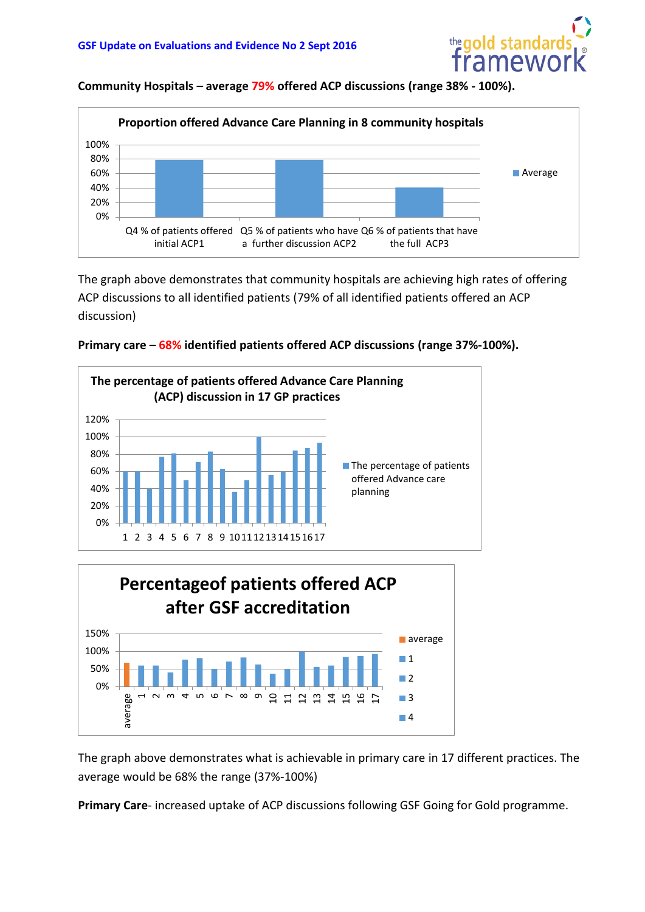

**Community Hospitals – average 79% offered ACP discussions (range 38% - 100%).**



The graph above demonstrates that community hospitals are achieving high rates of offering ACP discussions to all identified patients (79% of all identified patients offered an ACP discussion)







The graph above demonstrates what is achievable in primary care in 17 different practices. The average would be 68% the range (37%-100%)

**Primary Care**- increased uptake of ACP discussions following GSF Going for Gold programme.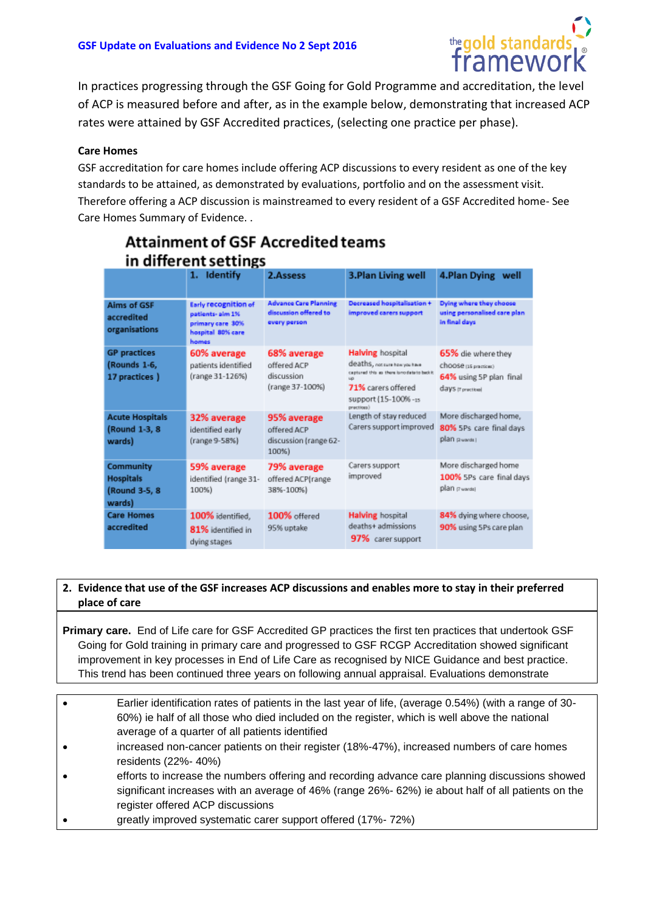

In practices progressing through the GSF Going for Gold Programme and accreditation, the level of ACP is measured before and after, as in the example below, demonstrating that increased ACP rates were attained by GSF Accredited practices, (selecting one practice per phase).

#### **Care Homes**

GSF accreditation for care homes include offering ACP discussions to every resident as one of the key standards to be attained, as demonstrated by evaluations, portfolio and on the assessment visit. Therefore offering a ACP discussion is mainstreamed to every resident of a GSF Accredited home- See Care Homes Summary of Evidence. .

| in different settings                                     |                                                                                                   |                                                                       |                                                                                                                                                                       |                                                                                           |
|-----------------------------------------------------------|---------------------------------------------------------------------------------------------------|-----------------------------------------------------------------------|-----------------------------------------------------------------------------------------------------------------------------------------------------------------------|-------------------------------------------------------------------------------------------|
|                                                           | 1. Identify                                                                                       | 2.Assess                                                              | 3.Plan Living well                                                                                                                                                    | 4.Plan Dying well                                                                         |
| Aims of GSF<br>accredited<br>organisations                | <b>Early recognition of</b><br>patients- aim 1%<br>primary care 30%<br>hospital 80% care<br>homes | <b>Advance Care Planning</b><br>discussion offered to<br>every person | Decreased hospitalisation +<br>improved carers support                                                                                                                | Dying where they choose<br>using personalised care plan<br>in final days                  |
| <b>GP</b> practices<br>(Rounds 1-6,<br>17 practices)      | 60% average<br>patients identified<br>(range 31-126%)                                             | 68% average<br>offered ACP<br>discussion<br>(range 37-100%)           | <b>Halving</b> hospital<br>deaths, not cure how you have<br>captured this as there is no data to besk it.<br>71% carers offered<br>support (15-100% -15<br>practions) | 65% die where they<br>choose rs practices)<br>64% using 5P plan final<br>days transction! |
| <b>Acute Hospitals</b><br>(Round 1-3, 8)<br>wards)        | 32% average<br>identified early<br>(range 9-58%)                                                  | 95% average<br>offered ACP<br>discussion (range 62-<br>100%)          | Length of stay reduced<br>Carers support improved                                                                                                                     | More discharged home,<br>80% 5Ps care final days<br>plan gward:                           |
| Community<br><b>Hospitals</b><br>(Round 3-5, 8)<br>wards) | 59% average<br>identified (range 31-<br>100%)                                                     | 79% average<br>offered ACP(range<br>38%-100%)                         | Carers support<br>improved                                                                                                                                            | More discharged home<br>100% 5Ps care final days<br>plan gwardd                           |
| <b>Care Homes</b><br>accredited                           | 100% identified.<br>81% identified in<br>dying stages                                             | 100% offered<br>95% uptake                                            | <b>Halving</b> hospital<br>deaths+ admissions<br>97% carer support                                                                                                    | 84% dying where choose,<br>90% using 5Ps care plan                                        |

# **Attainment of GSF Accredited teams**

#### **2. Evidence that use of the GSF increases ACP discussions and enables more to stay in their preferred place of care**

**Primary care.** End of Life care for GSF Accredited GP practices the first ten practices that undertook GSF Going for Gold training in primary care and progressed to GSF RCGP Accreditation showed significant improvement in key processes in End of Life Care as recognised by NICE Guidance and best practice. This trend has been continued three years on following annual appraisal. Evaluations demonstrate

- Earlier identification rates of patients in the last year of life, (average 0.54%) (with a range of 30- 60%) ie half of all those who died included on the register, which is well above the national average of a quarter of all patients identified
- increased non-cancer patients on their register (18%-47%), increased numbers of care homes residents (22%- 40%)
- efforts to increase the numbers offering and recording advance care planning discussions showed significant increases with an average of 46% (range 26%- 62%) ie about half of all patients on the register offered ACP discussions
- greatly improved systematic carer support offered (17%- 72%)